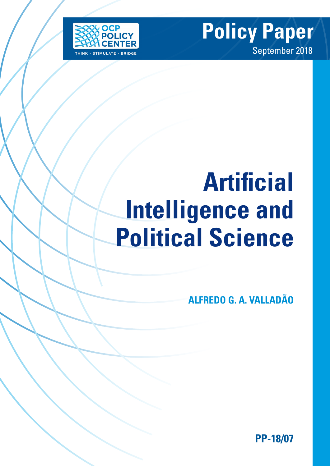



# **Artificial Intelligence and Political Science**

**ALFREDO G. A. VALLADÃO** 

**PP-18/07**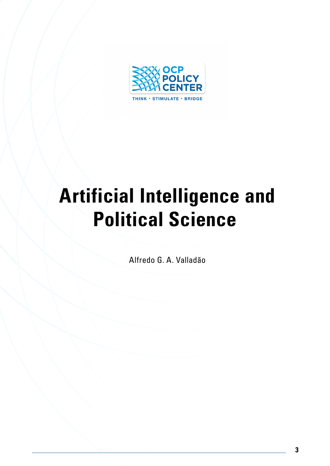

## **Artificial Intelligence and Political Science**

Alfredo G. A. Valladão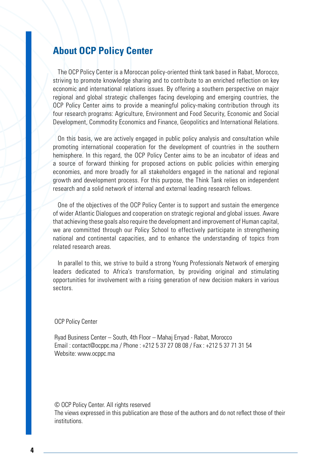#### **About OCP Policy Center**

The OCP Policy Center is a Moroccan policy-oriented think tank based in Rabat, Morocco, striving to promote knowledge sharing and to contribute to an enriched reflection on key economic and international relations issues. By offering a southern perspective on major regional and global strategic challenges facing developing and emerging countries, the OCP Policy Center aims to provide a meaningful policy-making contribution through its four research programs: Agriculture, Environment and Food Security, Economic and Social Development, Commodity Economics and Finance, Geopolitics and International Relations.

On this basis, we are actively engaged in public policy analysis and consultation while promoting international cooperation for the development of countries in the southern hemisphere. In this regard, the OCP Policy Center aims to be an incubator of ideas and a source of forward thinking for proposed actions on public policies within emerging economies, and more broadly for all stakeholders engaged in the national and regional growth and development process. For this purpose, the Think Tank relies on independent research and a solid network of internal and external leading research fellows.

One of the objectives of the OCP Policy Center is to support and sustain the emergence of wider Atlantic Dialogues and cooperation on strategic regional and global issues. Aware that achieving these goals also require the development and improvement of Human capital, we are committed through our Policy School to effectively participate in strengthening national and continental capacities, and to enhance the understanding of topics from related research areas.

In parallel to this, we strive to build a strong Young Professionals Network of emerging leaders dedicated to Africa's transformation, by providing original and stimulating opportunities for involvement with a rising generation of new decision makers in various sectors.

#### OCP Policy Center

Ryad Business Center – South, 4th Floor – Mahaj Erryad - Rabat, Morocco Email : contact@ocppc.ma / Phone : +212 5 37 27 08 08 / Fax : +212 5 37 71 31 54 Website: www.ocppc.ma

© OCP Policy Center. All rights reserved

The views expressed in this publication are those of the authors and do not reflect those of their institutions.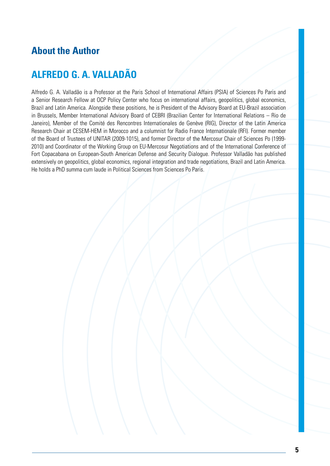#### **About the Author**

#### **ALFREDO G. A. VALLADÃO**

Alfredo G. A. Valladão is a Professor at the Paris School of International Affairs (PSIA) of Sciences Po Paris and a Senior Research Fellow at OCP Policy Center who focus on international affairs, geopolitics, global economics, Brazil and Latin America. Alongside these positions, he is President of the Advisory Board at EU-Brazil association in Brussels, Member International Advisory Board of CEBRI (Brazilian Center for International Relations – Rio de Janeiro), Member of the Comité des Rencontres Internationales de Genève (RIG), Director of the Latin America Research Chair at CESEM-HEM in Morocco and a columnist for Radio France Internationale (RFI). Former member of the Board of Trustees of UNITAR (2009-1015), and former Director of the Mercosur Chair of Sciences Po (1999- 2010) and Coordinator of the Working Group on EU-Mercosur Negotiations and of the International Conference of Fort Copacabana on European-South American Defense and Security Dialogue. Professor Valladão has published extensively on geopolitics, global economics, regional integration and trade negotiations, Brazil and Latin America. He holds a PhD summa cum laude in Political Sciences from Sciences Po Paris.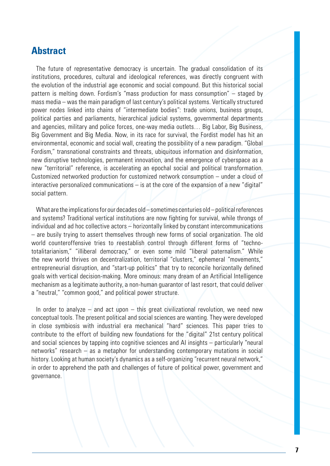#### **Abstract**

The future of representative democracy is uncertain. The gradual consolidation of its institutions, procedures, cultural and ideological references, was directly congruent with the evolution of the industrial age economic and social compound. But this historical social pattern is melting down. Fordism's "mass production for mass consumption" – staged by mass media – was the main paradigm of last century's political systems. Vertically structured power nodes linked into chains of "intermediate bodies": trade unions, business groups, political parties and parliaments, hierarchical judicial systems, governmental departments and agencies, military and police forces, one-way media outlets… Big Labor, Big Business, Big Government and Big Media. Now, in its race for survival, the Fordist model has hit an environmental, economic and social wall, creating the possibility of a new paradigm. "Global Fordism," transnational constraints and threats, ubiquitous information and disinformation, new disruptive technologies, permanent innovation, and the emergence of cyberspace as a new "territorial" reference, is accelerating an epochal social and political transformation. Customized networked production for customized network consumption – under a cloud of interactive personalized communications – is at the core of the expansion of a new "digital" social pattern.

What are the implications for our decades old – sometimes centuries old – political references and systems? Traditional vertical institutions are now fighting for survival, while throngs of individual and ad hoc collective actors – horizontally linked by constant intercommunications – are busily trying to assert themselves through new forms of social organization. The old world counteroffensive tries to reestablish control through different forms of "technototalitarianism," "illiberal democracy," or even some mild "liberal paternalism." While the new world thrives on decentralization, territorial "clusters," ephemeral "movements," entrepreneurial disruption, and "start-up politics" that try to reconcile horizontally defined goals with vertical decision-making. More ominous: many dream of an Artificial Intelligence mechanism as a legitimate authority, a non-human guarantor of last resort, that could deliver a "neutral," "common good," and political power structure.

In order to analyze – and act upon – this great civilizational revolution, we need new conceptual tools. The present political and social sciences are wanting. They were developed in close symbiosis with industrial era mechanical "hard" sciences. This paper tries to contribute to the effort of building new foundations for the "digital" 21st century political and social sciences by tapping into cognitive sciences and AI insights – particularly "neural networks" research – as a metaphor for understanding contemporary mutations in social history. Looking at human society's dynamics as a self-organizing "recurrent neural network," in order to apprehend the path and challenges of future of political power, government and governance.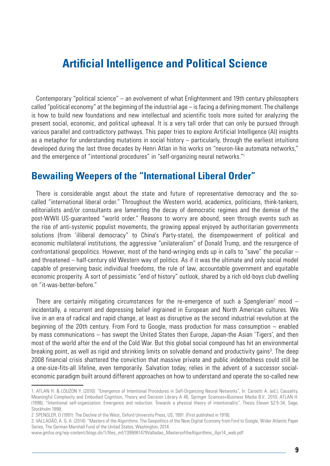### **Artificial Intelligence and Political Science**

Contemporary "political science" – an evolvement of what Enlightenment and 19th century philosophers called "political economy" at the beginning of the industrial age – is facing a defining moment. The challenge is how to build new foundations and new intellectual and scientific tools more suited for analyzing the present social, economic, and political upheaval. It is a very tall order that can only be pursued through various parallel and contradictory pathways. This paper tries to explore Artificial Intelligence (AI) insights as a metaphor for understanding mutations in social history – particularly, through the earliest intuitions developed during the last three decades by Henri Atlan in his works on "neuron-like automata networks," and the emergence of "intentional procedures" in "self-organizing neural networks."1

#### **Bewailing Weepers of the "International Liberal Order"**

There is considerable angst about the state and future of representative democracy and the socalled "international liberal order." Throughout the Western world, academics, politicians, think-tankers, editorialists and/or consultants are lamenting the decay of democratic regimes and the demise of the post-WWII US-guaranteed "world order." Reasons to worry are abound, seen through events such as the rise of anti-systemic populist movements, the growing appeal enjoyed by authoritarian governments solutions (from 'illiberal democracy" to China's Party-state), the disempowerment of political and economic multilateral institutions, the aggressive "unilateralism" of Donald Trump, and the resurgence of confrontational geopolitics. However, most of the hand-wringing ends up in calls to "save" the peculiar – and threatened – half-century old Western way of politics. As if it was the ultimate and only social model capable of preserving basic individual freedoms, the rule of law, accountable government and equitable economic prosperity. A sort of pessimistic "end of history" outlook, shared by a rich old-boys club dwelling on "it-was-better-before."

There are certainly mitigating circumstances for the re-emergence of such a Spenglerian<sup>2</sup> mood  $$ incidentally, a recurrent and depressing belief ingrained in European and North American cultures. We live in an era of radical and rapid change, at least as disruptive as the second industrial revolution at the beginning of the 20th century. From Ford to Google, mass production for mass consumption – enabled by mass communications – has swept the United States then Europe, Japan-the Asian 'Tigers', and then most of the world after the end of the Cold War. But this global social compound has hit an environmental breaking point, as well as rigid and shrinking limits on solvable demand and productivity gains<sup>3</sup>. The deep 2008 financial crisis shattered the conviction that massive private and public indebtedness could still be a one-size-fits-all lifeline, even temporarily. Salvation today, relies in the advent of a successor socialeconomic paradigm built around different approaches on how to understand and operate the so-called new

<sup>1.</sup> ATLAN H. & LOUZON Y. (2010): "Emergence of Intentional Procedures in Self-Organizing Neural Networks", In: Carsetti A. (ed.), Causality, Meaningful Complexity and Embodied Cognition, Theory and Decision Library A 46, Springer Sciences+Business Media B.V., 2010; ATLAN H. (1998), "Intentional self-organization. Emergence and reduction. Towards a physical theory of intentionality", Thesis Eleven 52:5-34, Sage, Stockholm 1998;

<sup>2.</sup> SPENGLER, O (1991): The Decline of the West, Oxford University Press, US, 1991. (First published in 1918).

<sup>3.</sup> VALLADÃO, A. G. A. (2014): "Masters of the Algorithms. The Geopolitics of the New Digital Economy from Ford to Google, Wider Atlantic Paper Series, The German Marshall Fund of the United States, Washington, 2014.

www.gmfus.org/wp-content/blogs.dir/1/files\_mf/1399061479Valladao\_MastersoftheAlgorithms\_Apr14\_web.pdf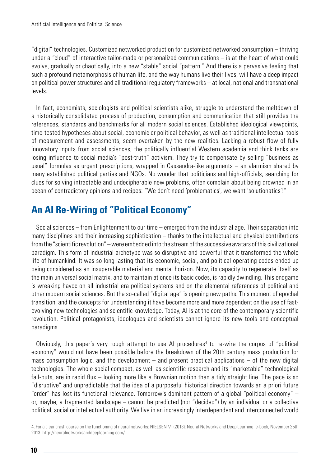"digital" technologies. Customized networked production for customized networked consumption – thriving under a "cloud" of interactive tailor-made or personalized communications – is at the heart of what could evolve, gradually or chaotically, into a new "stable" social "pattern." And there is a pervasive feeling that such a profound metamorphosis of human life, and the way humans live their lives, will have a deep impact on political power structures and all traditional regulatory frameworks – at local, national and transnational levels.

In fact, economists, sociologists and political scientists alike, struggle to understand the meltdown of a historically consolidated process of production, consumption and communication that still provides the references, standards and benchmarks for all modern social sciences. Established ideological viewpoints, time-tested hypotheses about social, economic or political behavior, as well as traditional intellectual tools of measurement and assessments, seem overtaken by the new realities. Lacking a robust flow of fully innovatory inputs from social sciences, the politically influential Western academia and think tanks are losing influence to social media's "post-truth" activism. They try to compensate by selling "business as usual" formulas as urgent prescriptions, wrapped in Cassandra-like arguments – an alarmism shared by many established political parties and NGOs. No wonder that politicians and high-officials, searching for clues for solving intractable and undecipherable new problems, often complain about being drowned in an ocean of contradictory opinions and recipes: "We don't need 'problematics', we want 'solutionatics'!"

#### **An AI Re-Wiring of "Political Economy"**

Social sciences – from Enlightenment to our time – emerged from the industrial age. Their separation into many disciplines and their increasing sophistication – thanks to the intellectual and physical contributions from the "scientific revolution" – were embedded into the stream of the successive avatars of this civilizational paradigm. This form of industrial archetype was so disruptive and powerful that it transformed the whole life of humankind. It was so long lasting that its economic, social, and political operating codes ended up being considered as an insuperable material and mental horizon. Now, its capacity to regenerate itself as the main universal social matrix, and to maintain at once its basic codes, is rapidly dwindling. This endgame is wreaking havoc on all industrial era political systems and on the elemental references of political and other modern social sciences. But the so-called "digital age" is opening new paths. This moment of epochal transition, and the concepts for understanding it have become more and more dependent on the use of fastevolving new technologies and scientific knowledge. Today, AI is at the core of the contemporary scientific revolution. Political protagonists, ideologues and scientists cannot ignore its new tools and conceptual paradigms.

Obviously, this paper's very rough attempt to use AI procedures<sup>4</sup> to re-wire the corpus of "political economy" would not have been possible before the breakdown of the 20th century mass production for mass consumption logic, and the development – and present practical applications – of the new digital technologies. The whole social compact, as well as scientific research and its "marketable" technological fall-outs, are in rapid flux – looking more like a Brownian motion than a tidy straight line. The pace is so "disruptive" and unpredictable that the idea of a purposeful historical direction towards an a priori future "order" has lost its functional relevance. Tomorrow's dominant pattern of a global "political economy" – or, maybe, a fragmented landscape – cannot be predicted (nor "decided") by an individual or a collective political, social or intellectual authority. We live in an increasingly interdependent and interconnected world

<sup>4.</sup> For a clear crash course on the functioning of neural networks: NIELSEN M. (2013): Neural Networks and Deep Learning. e-book, November 25th 2013. http://neuralnetworksanddeeplearning.com/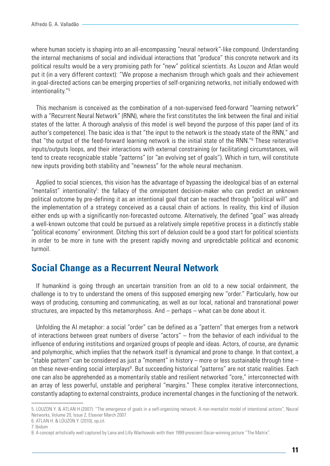where human society is shaping into an all-encompassing "neural network"-like compound. Understanding the internal mechanisms of social and individual interactions that "produce" this concrete network and its political results would be a very promising path for "new" political scientists. As Louzon and Atlan would put it (in a very different context): "We propose a mechanism through which goals and their achievement in goal-directed actions can be emerging properties of self-organizing networks, not initially endowed with intentionality."5

This mechanism is conceived as the combination of a non-supervised feed-forward "learning network" with a "Recurrent Neural Network" (RNN), where the first constitutes the link between the final and initial states of the latter. A thorough analysis of this model is well beyond the purpose of this paper (and of its author's competence). The basic idea is that "the input to the network is the steady state of the RNN," and that "the output of the feed-forward learning network is the initial state of the RNN."6 These reiterative inputs/outputs loops, and their interactions with external constraining (or facilitating) circumstances, will tend to create recognizable stable "patterns" (or "an evolving set of goals"). Which in turn, will constitute new inputs providing both stability and "newness" for the whole neural mechanism.

Applied to social sciences, this vision has the advantage of bypassing the ideological bias of an external "mentalist" intentionality': the fallacy of the omnipotent decision-maker who can predict an unknown political outcome by pre-defining it as an intentional goal that can be reached through "political will" and the implementation of a strategy conceived as a causal chain of actions. In reality, this kind of illusion either ends up with a significantly non-forecasted outcome. Alternatively, the defined "goal" was already a well-known outcome that could be pursued as a relatively simple repetitive process in a distinctly stable "political economy" environment. Ditching this sort of delusion could be a good start for political scientists in order to be more in tune with the present rapidly moving and unpredictable political and economic turmoil.

#### **Social Change as a Recurrent Neural Network**

If humankind is going through an uncertain transition from an old to a new social ordainment, the challenge is to try to understand the omens of this supposed emerging new "order." Particularly, how our ways of producing, consuming and communicating, as well as our local, national and transnational power structures, are impacted by this metamorphosis. And – perhaps – what can be done about it.

Unfolding the AI metaphor: a social "order" can be defined as a "pattern" that emerges from a network of interactions between great numbers of diverse "actors" – from the behavior of each individual to the influence of enduring institutions and organized groups of people and ideas. Actors, of course, are dynamic and polymorphic, which implies that the network itself is dynamical and prone to change. In that context, a "stable pattern" can be considered as just a "moment" in history  $-$  more or less sustainable through time  $$ on these never-ending social interplays<sup>8</sup>. But succeeding historical "patterns" are not static realities. Each one can also be apprehended as a momentarily stable and resilient networked "core," interconnected with an array of less powerful, unstable and peripheral "margins." These complex iterative interconnections, constantly adapting to external constraints, produce incremental changes in the functioning of the network.

<sup>5.</sup> LOUZON Y. & ATLAN H.(2007): "The emergence of goals in a self-organizing network: A non-mentalist model of intentional actions", Neural Networks, Volume 20, Issue 2, Elsevier March 2007.

<sup>6.</sup> ATLAN H. & LOUZON Y. (2010), op.cit.

<sup>7.</sup> Ibidum

<sup>8.</sup> A concept artistically well captured by Lana and Lilly Wachowski with their 1999 prescient Oscar-winning picture "The Matrix".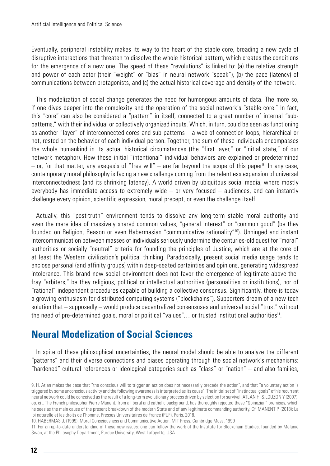Eventually, peripheral instability makes its way to the heart of the stable core, breading a new cycle of disruptive interactions that threaten to dissolve the whole historical pattern, which creates the conditions for the emergence of a new one. The speed of these "revolutions" is linked to: (a) the relative strength and power of each actor (their "weight" or "bias" in neural network "speak"), (b) the pace (latency) of communications between protagonists, and (c) the actual historical coverage and density of the network.

This modelization of social change generates the need for humongous amounts of data. The more so, if one dives deeper into the complexity and the operation of the social network's "stable core." In fact, this "core" can also be considered a "pattern" in itself, connected to a great number of internal "subpatterns," with their individual or collectively organized inputs. Which, in turn, could be seen as functioning as another "layer" of interconnected cores and sub-patterns – a web of connection loops, hierarchical or not, rested on the behavior of each individual person. Together, the sum of these individuals encompasses the whole humankind in its actual historical circumstances (the "first layer," or "initial state," of our network metaphor). How these initial "intentional" individual behaviors are explained or predetermined – or, for that matter, any exegesis of "free will" – are far beyond the scope of this paper9 . In any case, contemporary moral philosophy is facing a new challenge coming from the relentless expansion of universal interconnectedness (and its shrinking latency). A world driven by ubiquitous social media, where mostly everybody has immediate access to extremely wide – or very focused – audiences, and can instantly challenge every opinion, scientific expression, moral precept, or even the challenge itself.

Actually, this "post-truth" environment tends to dissolve any long-term stable moral authority and even the mere idea of massively shared common values, "general interest" or "common good" (be they founded on Religion, Reason or even Habermasian "communicative rationality"10). Unhinged and instant intercommunication between masses of individuals seriously undermine the centuries-old quest for "moral" authorities or socially "neutral" criteria for founding the principles of Justice, which are at the core of at least the Western civilization's political thinking. Paradoxically, present social media usage tends to enclose personal (and affinity groups) within deep-seated certainties and opinions, generating widespread intolerance. This brand new social environment does not favor the emergence of legitimate above-thefray "arbiters," be they religious, political or intellectual authorities (personalities or institutions), nor of "rational" independent procedures capable of building a collective consensus. Significantly, there is today a growing enthusiasm for distributed computing systems ("blockchains"). Supporters dream of a new tech solution that – supposedly – would produce decentralized consensuses and universal social "trust" without the need of pre-determined goals, moral or political "values"... or trusted institutional authorities<sup>11</sup>.

#### **Neural Modelization of Social Sciences**

In spite of these philosophical uncertainties, the neural model should be able to analyze the different "patterns" and their diverse connections and biases operating through the social network's mechanisms: "hardened" cultural references or ideological categories such as "class" or "nation" – and also families,

<sup>9.</sup> H. Atlan makes the case that "the conscious will to trigger an action does not necessarily precede the action", and that "a voluntary action is triggered by some unconscious activity and the following awareness is interpreted as its cause". The initial set of "instinctual goals" of his recurrent neural network could be conceived as the result of a long-term evolutionary process driven by selection for survival. ATLAN H. & LOUZON Y (2007), op. cit. The French philosopher Pierre Manent, from a liberal and catholic background, has thoroughly rejected these "Spinozian" premises, which he sees as the main cause of the present breakdown of the modern State and of any legitimate commanding authority. Cf. MANENT P. (2018): La loi naturelle et les droits de l'homme, Presses Universitaires de France (PUF), Paris, 2018.

<sup>10.</sup> HABERMAS J. (1999): Moral Consciousness and Communicative Action, MIT Press, Cambridge Mass. 1999

<sup>11.</sup> For an up-to-date understanding of these new issues: one can follow the work of the Institute for Blockchain Studies, founded by Melanie Swan, at the Philosophy Department, Purdue University, West Lafayette, USA.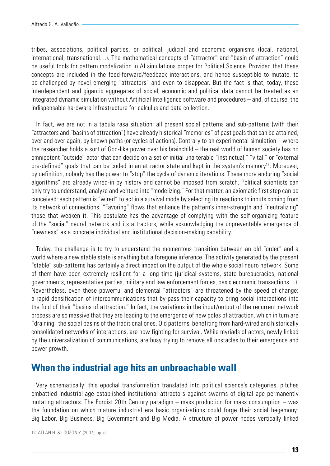tribes, associations, political parties, or political, judicial and economic organisms (local, national, international, transnational…). The mathematical concepts of "attractor" and "basin of attraction" could be useful tools for pattern modelization in AI simulations proper for Political Science. Provided that these concepts are included in the feed-forward/feedback interactions, and hence susceptible to mutate, to be challenged by novel emerging "attractors" and even to disappear. But the fact is that, today, these interdependent and gigantic aggregates of social, economic and political data cannot be treated as an integrated dynamic simulation without Artificial Intelligence software and procedures – and, of course, the indispensable hardware infrastructure for calculus and data collection.

In fact, we are not in a tabula rasa situation: all present social patterns and sub-patterns (with their "attractors and "basins of attraction") have already historical "memories" of past goals that can be attained, over and over again, by known paths (or cycles of actions). Contrary to an experimental simulation – where the researcher holds a sort of God-like power over his brainchild – the real world of human society has no omnipotent "outside" actor that can decide on a set of initial unalterable "instinctual," "vital," or "external pre-defined" goals that can be coded in an attractor state and kept in the system's memory<sup>12</sup>. Moreover, by definition, nobody has the power to "stop" the cycle of dynamic iterations. These more enduring "social algorithms" are already wired-in by history and cannot be imposed from scratch. Political scientists can only try to understand, analyze and venture into "modelizing." For that matter, an axiomatic first step can be conceived: each pattern is "wired" to act in a survival mode by selecting its reactions to inputs coming from its network of connections. "Favoring" flows that enhance the pattern's inner-strength and "neutralizing" those that weaken it. This postulate has the advantage of complying with the self-organizing feature of the "social" neural network and its attractors, while acknowledging the unpreventable emergence of "newness" as a concrete individual and institutional decision-making capability.

Today, the challenge is to try to understand the momentous transition between an old "order" and a world where a new stable state is anything but a foregone inference. The activity generated by the present "stable" sub-patterns has certainly a direct impact on the output of the whole social neuro network. Some of them have been extremely resilient for a long time (juridical systems, state bureaucracies, national governments, representative parties, military and law enforcement forces, basic economic transactions…). Nevertheless, even these powerful and elemental "attractors" are threatened by the speed of change: a rapid densification of intercommunications that by-pass their capacity to bring social interactions into the fold of their "basins of attraction." In fact, the variations in the input/output of the recurrent network process are so massive that they are leading to the emergence of new poles of attraction, which in turn are "draining" the social basins of the traditional ones. Old patterns, benefiting from hard-wired and historically consolidated networks of interactions, are now fighting for survival. While myriads of actors, newly linked by the universalization of communications, are busy trying to remove all obstacles to their emergence and power growth.

#### **When the industrial age hits an unbreachable wall**

Very schematically: this epochal transformation translated into political science's categories, pitches embattled industrial-age established institutional attractors against swarms of digital age permanently mutating attractors. The Fordist 20th Century paradigm – mass production for mass consumption – was the foundation on which mature industrial era basic organizations could forge their social hegemony: Big Labor, Big Business, Big Government and Big Media. A structure of power nodes vertically linked

<sup>12.</sup> ATLAN H. & LOUZON Y. (2007), op. cit.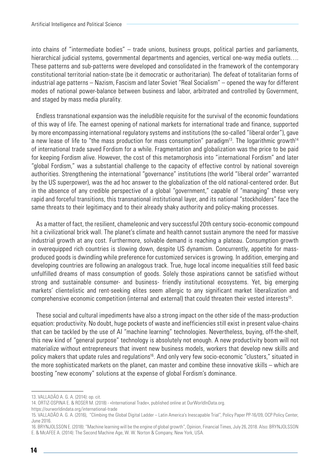into chains of "intermediate bodies" – trade unions, business groups, political parties and parliaments, hierarchical judicial systems, governmental departments and agencies, vertical one-way media outlets…. These patterns and sub-patterns were developed and consolidated in the framework of the contemporary constitutional territorial nation-state (be it democratic or authoritarian). The defeat of totalitarian forms of industrial age patterns – Nazism, Fascism and later Soviet "Real Socialism" – opened the way for different modes of national power-balance between business and labor, arbitrated and controlled by Government, and staged by mass media plurality.

Endless transnational expansion was the ineludible requisite for the survival of the economic foundations of this way of life. The earnest opening of national markets for international trade and finance, supported by more encompassing international regulatory systems and institutions (the so-called "liberal order"), gave a new lease of life to "the mass production for mass consumption" paradigm<sup>13</sup>. The logarithmic growth<sup>14</sup> of international trade saved Fordism for a while. Fragmentation and globalization was the price to be paid for keeping Fordism alive. However, the cost of this metamorphosis into "international Fordism" and later "global Fordism," was a substantial challenge to the capacity of effective control by national sovereign authorities. Strengthening the international "governance" institutions (the world "liberal order" warranted by the US superpower), was the ad hoc answer to the globalization of the old national-centered order. But in the absence of any credible perspective of a global "government," capable of "managing" these very rapid and forceful transitions, this transnational institutional layer, and its national "stockholders" face the same threats to their legitimacy and to their already shaky authority and policy-making processes.

As a matter of fact, the resilient, chameleonic and very successful 20th century socio-economic compound hit a civilizational brick wall. The planet's climate and health cannot sustain anymore the need for massive industrial growth at any cost. Furthermore, solvable demand is reaching a plateau. Consumption growth in overequipped rich countries is slowing down, despite US dynamism. Concurrently, appetite for massproduced goods is dwindling while preference for customized services is growing. In addition, emerging and developing countries are following an analogous track. True, huge local income inequalities still feed basic unfulfilled dreams of mass consumption of goods. Solely those aspirations cannot be satisfied without strong and sustainable consumer- and business- friendly institutional ecosystems. Yet, big emerging markets' clientelistic and rent-seeking elites seem allergic to any significant market liberalization and comprehensive economic competition (internal and external) that could threaten their vested interests<sup>15</sup>.

These social and cultural impediments have also a strong impact on the other side of the mass-production equation: productivity. No doubt, huge pockets of waste and inefficiencies still exist in present value-chains that can be tackled by the use of AI "machine learning" technologies. Nevertheless, buying, off-the-shelf, this new kind of "general purpose" technology is absolutely not enough. A new productivity boom will not materialize without entrepreneurs that invent new business models, workers that develop new skills and policy makers that update rules and regulations<sup>16</sup>. And only very few socio-economic "clusters," situated in the more sophisticated markets on the planet, can master and combine these innovative skills – which are boosting "new economy" solutions at the expense of global Fordism's dominance.

https://ourworldindata.org/international-trade

<sup>13.</sup> VALLADÃO A. G. A. (2014): op. cit.

<sup>14.</sup> ORTIZ-OSPINA E. & ROSER M. (2018) - «International Trade», published online at OurWorldInData.org.

<sup>15.</sup> VALLADÃO A. G. A. (2016), "Climbing the Global Digital Ladder – Latin America's Inescapable Trial", Policy Paper PP-16/09, OCP Policy Center, June 2016.

<sup>16.</sup> BRYNJOLSSON E. (2018): "Machine learning will be the engine of global growth", Opinion, Financial Times, July 26, 2018. Also: BRYNJOLSSON E. & McAFEE A. (2014): The Second Machine Age, W. W. Norton & Company, New York, USA.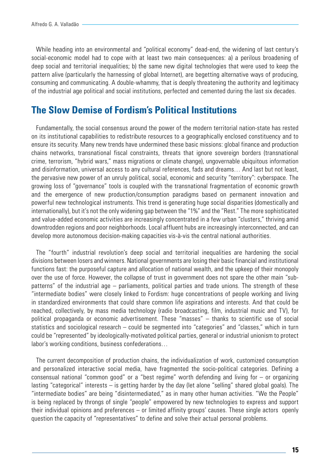While heading into an environmental and "political economy" dead-end, the widening of last century's social-economic model had to cope with at least two main consequences: a) a perilous broadening of deep social and territorial inequalities; b) the same new digital technologies that were used to keep the pattern alive (particularly the harnessing of global Internet), are begetting alternative ways of producing, consuming and communicating. A double-whammy, that is deeply threatening the authority and legitimacy of the industrial age political and social institutions, perfected and cemented during the last six decades.

#### **The Slow Demise of Fordism's Political Institutions**

Fundamentally, the social consensus around the power of the modern territorial nation-state has rested on its institutional capabilities to redistribute resources to a geographically enclosed constituency and to ensure its security. Many new trends have undermined these basic missions: global finance and production chains networks, transnational fiscal constraints, threats that ignore sovereign borders (transnational crime, terrorism, "hybrid wars," mass migrations or climate change), ungovernable ubiquitous information and disinformation, universal access to any cultural references, fads and dreams… And last but not least, the pervasive new power of an unruly political, social, economic and security "territory": cyberspace. The growing loss of "governance" tools is coupled with the transnational fragmentation of economic growth and the emergence of new production/consumption paradigms based on permanent innovation and powerful new technological instruments. This trend is generating huge social disparities (domestically and internationally), but it's not the only widening gap between the "1%" and the "Rest." The more sophisticated and value-added economic activities are increasingly concentrated in a few urban "clusters," thriving amid downtrodden regions and poor neighborhoods. Local affluent hubs are increasingly interconnected, and can develop more autonomous decision-making capacities vis-à-vis the central national authorities.

The "fourth" industrial revolution's deep social and territorial inequalities are hardening the social divisions between losers and winners. National governments are losing their basic financial and institutional functions fast: the purposeful capture and allocation of national wealth, and the upkeep of their monopoly over the use of force. However, the collapse of trust in government does not spare the other main "subpatterns" of the industrial age – parliaments, political parties and trade unions. The strength of these "intermediate bodies" were closely linked to Fordism: huge concentrations of people working and living in standardized environments that could share common life aspirations and interests. And that could be reached, collectively, by mass media technology (radio broadcasting, film, industrial music and TV), for political propaganda or economic advertisement. These "masses" – thanks to scientific use of social statistics and sociological research – could be segmented into "categories" and "classes," which in turn could be "represented" by ideologically-motivated political parties, general or industrial unionism to protect labor's working conditions, business confederations…

The current decomposition of production chains, the individualization of work, customized consumption and personalized interactive social media, have fragmented the socio-political categories. Defining a consensual national "common good" or a "best regime" worth defending and living for – or organizing lasting "categorical" interests – is getting harder by the day (let alone "selling" shared global goals). The "intermediate bodies" are being "disintermediated," as in many other human activities. "We the People" is being replaced by throngs of single "people" empowered by new technologies to express and support their individual opinions and preferences – or limited affinity groups' causes. These single actors openly question the capacity of "representatives" to define and solve their actual personal problems.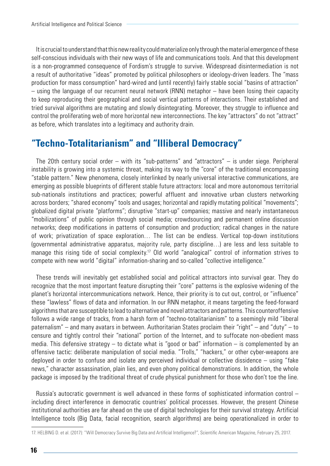It is crucial to understand that this new reality could materialize only through the material emergence of these self-conscious individuals with their new ways of life and communications tools. And that this development is a non-programmed consequence of Fordism's struggle to survive. Widespread disintermediation is not a result of authoritative "ideas" promoted by political philosophers or ideology-driven leaders. The "mass production for mass consumption" hard-wired and (until recently) fairly stable social "basins of attraction" – using the language of our recurrent neural network (RNN) metaphor – have been losing their capacity to keep reproducing their geographical and social vertical patterns of interactions. Their established and tried survival algorithms are mutating and slowly disintegrating. Moreover, they struggle to influence and control the proliferating web of more horizontal new interconnections. The key "attractors" do not "attract" as before, which translates into a legitimacy and authority drain.

#### **"Techno-Totalitarianism" and "Illiberal Democracy"**

The 20th century social order – with its "sub-patterns" and "attractors" – is under siege. Peripheral instability is growing into a systemic threat, making its way to the "core" of the traditional encompassing "stable pattern." New phenomena, closely interlinked by nearly universal interactive communications, are emerging as possible blueprints of different stable future attractors: local and more autonomous territorial sub-nationals institutions and practices; powerful affluent and innovative urban clusters networking across borders; "shared economy" tools and usages; horizontal and rapidly mutating political "movements"; globalized digital private "platforms"; disruptive "start-up" companies; massive and nearly instantaneous "mobilizations" of public opinion through social media; crowdsourcing and permanent online discussion networks; deep modifications in patterns of consumption and production; radical changes in the nature of work; privatization of space exploration… The list can be endless. Vertical top-down institutions (governmental administrative apparatus, majority rule, party discipline…) are less and less suitable to manage this rising tide of social complexity.<sup>17</sup> Old world "analogical" control of information strives to compete with new world "digital" information-sharing and so-called "collective intelligence."

These trends will inevitably get established social and political attractors into survival gear. They do recognize that the most important feature disrupting their "core" patterns is the explosive widening of the planet's horizontal intercommunications network. Hence, their priority is to cut out, control, or "influence" these "lawless" flows of data and information. In our RNN metaphor, it means targeting the feed-forward algorithms that are susceptible to lead to alternative and novel attractors and patterns. This counteroffensive follows a wide range of tracks, from a harsh form of "techno-totalitarianism" to a seemingly mild "liberal paternalism" – and many avatars in between. Authoritarian States proclaim their "right" – and "duty" – to censure and tightly control their "national" portion of the Internet, and to suffocate non-obedient mass media. This defensive strategy – to dictate what is "good or bad" information – is complemented by an offensive tactic: deliberate manipulation of social media. "Trolls," "hackers," or other cyber-weapons are deployed in order to confuse and isolate any perceived individual or collective dissidence – using "fake news," character assassination, plain lies, and even phony political demonstrations. In addition, the whole package is imposed by the traditional threat of crude physical punishment for those who don't toe the line.

Russia's autocratic government is well advanced in these forms of sophisticated information control – including direct interference in democratic countries' political processes. However, the present Chinese institutional authorities are far ahead on the use of digital technologies for their survival strategy. Artificial Intelligence tools (Big Data, facial recognition, search algorithms) are being operationalized in order to

<sup>17.</sup> HELBING D. et al. (2017): "Will Democracy Survive Big Data and Artificial Intelligence?", Scientific American Magazine, February 25, 2017.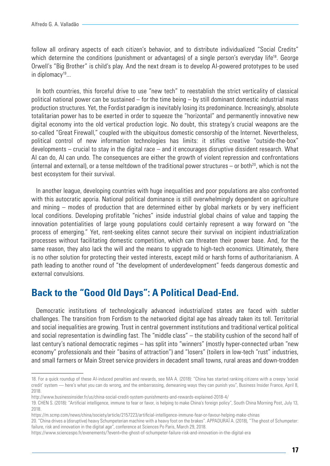follow all ordinary aspects of each citizen's behavior, and to distribute individualized "Social Credits" which determine the conditions (punishment or advantages) of a single person's everyday life<sup>18</sup>. George Orwell's "Big Brother" is child's play. And the next dream is to develop AI-powered prototypes to be used in diplomacy $19...$ 

In both countries, this forceful drive to use "new tech" to reestablish the strict verticality of classical political national power can be sustained – for the time being – by still dominant domestic industrial mass production structures. Yet, the Fordist paradigm is inevitably losing its predominance. Increasingly, absolute totalitarian power has to be exerted in order to squeeze the "horizontal" and permanently innovative new digital economy into the old vertical production logic. No doubt, this strategy's crucial weapons are the so-called "Great Firewall," coupled with the ubiquitous domestic censorship of the Internet. Nevertheless, political control of new information technologies has limits: it stifles creative "outside-the-box" developments – crucial to stay in the digital race – and it encourages disruptive dissident research. What AI can do, AI can undo. The consequences are either the growth of violent repression and confrontations (internal and external), or a tense meltdown of the traditional power structures – or both<sup>20</sup>, which is not the best ecosystem for their survival.

In another league, developing countries with huge inequalities and poor populations are also confronted with this autocratic aporia. National political dominance is still overwhelmingly dependent on agriculture and mining – modes of production that are determined either by global markets or by very inefficient local conditions. Developing profitable "niches" inside industrial global chains of value and tapping the innovation potentialities of large young populations could certainly represent a way forward on "the process of emerging." Yet, rent-seeking elites cannot secure their survival on incipient industrialization processes without facilitating domestic competition, which can threaten their power base. And, for the same reason, they also lack the will and the means to upgrade to high-tech economics. Ultimately, there is no other solution for protecting their vested interests, except mild or harsh forms of authoritarianism. A path leading to another round of "the development of underdevelopment" feeds dangerous domestic and external convulsions.

#### **Back to the "Good Old Days": A Political Dead-End.**

Democratic institutions of technologically advanced industrialized states are faced with subtler challenges. The transition from Fordism to the networked digital age has already taken its toll. Territorial and social inequalities are growing. Trust in central government institutions and traditional vertical political and social representation is dwindling fast. The "middle class" – the stability cushion of the second half of last century's national democratic regimes – has split into "winners" (mostly hyper-connected urban "new economy" professionals and their "basins of attraction") and "losers" (toilers in low-tech "rust" industries, and small farmers or Main Street service providers in decadent small towns, rural areas and down-trodden

<sup>18.</sup> For a quick roundup of these AI-induced penalties and rewards, see MA A. (2018): "China has started ranking citizens with a creepy 'social credit' system — here's what you can do wrong, and the embarrassing, demeaning ways they can punish you", Business Insider France, April 8, 2018.

http://www.businessinsider.fr/us/china-social-credit-system-punishments-and-rewards-explained-2018-4/

<sup>19.</sup> CHEN S. (2018): "Artificial intelligence, immune to fear or favor, is helping to make China's foreign policy", South China Morning Post, July 13, 2018.

https://m.scmp.com/news/china/society/article/2157223/artificial-intelligence-immune-fear-or-favour-helping-make-chinas

<sup>20. &</sup>quot;China drives a (disruptive) heavy Schumpeterian machine with a heavy foot on the brakes". APPADURAÏ A. (2018), "The ghost of Schumpeter: failure, risk and innovation in the digital age", conference at Sciences Po Paris, March 29, 2018.

https://www.sciencespo.fr/evenements/?event=the-ghost-of-schumpeter-failure-risk-and-innovation-in-the-digital-era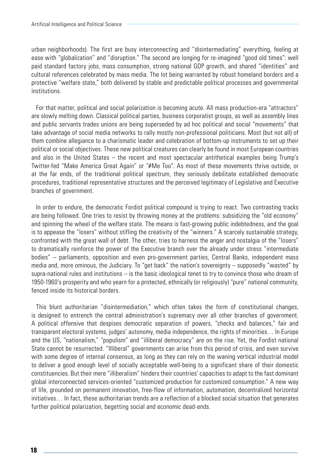urban neighborhoods). The first are busy interconnecting and "disintermediating" everything, feeling at ease with "globalization" and "disruption." The second are longing for re-imagined "good old times": well paid standard factory jobs, mass consumption, strong national GDP growth, and shared "identities" and cultural references celebrated by mass media. The lot being warranted by robust homeland borders and a protective "welfare state," both delivered by stable and predictable political processes and governmental institutions.

For that matter, political and social polarization is becoming acute. All mass production-era "attractors" are slowly melting down. Classical political parties, business corporatist groups, as well as assembly lines and public servants trades unions are being superseded by ad hoc political and social "movements" that take advantage of social media networks to rally mostly non-professional politicians. Most (but not all) of them combine allegiance to a charismatic leader and celebration of bottom-up instruments to set up their political or social objectives. These new political creatures can clearly be found in most European countries and also in the United States – the recent and most spectacular antithetical examples being Trump's Twitter-fed "Make America Great Again" or "#Me Too". As most of these movements thrive outside, or at the far ends, of the traditional political spectrum, they seriously debilitate established democratic procedures, traditional representative structures and the perceived legitimacy of Legislative and Executive branches of government.

In order to endure, the democratic Fordist political compound is trying to react. Two contrasting tracks are being followed. One tries to resist by throwing money at the problems: subsidizing the "old economy" and spinning the wheel of the welfare state. The means is fast-growing public indebtedness, and the goal is to appease the "losers" without stifling the creativity of the "winners." A scarcely sustainable strategy, confronted with the great wall of debt. The other, tries to harness the anger and nostalgia of the "losers" to dramatically reinforce the power of the Executive branch over the already under stress "intermediate bodies" – parliaments, opposition and even pro-government parties, Central Banks, independent mass media and, more ominous, the Judiciary. To "get back" the nation's sovereignty – supposedly "wasted" by supra-national rules and institutions – is the basic ideological tenet to try to convince those who dream of 1950-1960's prosperity and who yearn for a protected, ethnically (or religiously) "pure" national community, fenced inside its historical borders.

This blunt authoritarian "disintermediation," which often takes the form of constitutional changes, is designed to entrench the central administration's supremacy over all other branches of government. A political offensive that despises democratic separation of powers, "checks and balances," fair and transparent electoral systems, judges' autonomy, media independence, the rights of minorities… In Europe and the US, "nationalism," "populism" and "illiberal democracy" are on the rise. Yet, the Fordist national State cannot be resurrected. "Illiberal" governments can arise from this period of crisis, and even survive with some degree of internal consensus, as long as they can rely on the waning vertical industrial model to deliver a good enough level of socially acceptable well-being to a significant share of their domestic constituencies. But their mere "illiberalism" hinders their countries' capacities to adapt to the fast dominant global interconnected services-oriented "customized production for customized consumption." A new way of life, grounded on permanent innovation, free-flow of information, automation, decentralized horizontal initiatives… In fact, these authoritarian trends are a reflection of a blocked social situation that generates further political polarization, begetting social and economic dead-ends.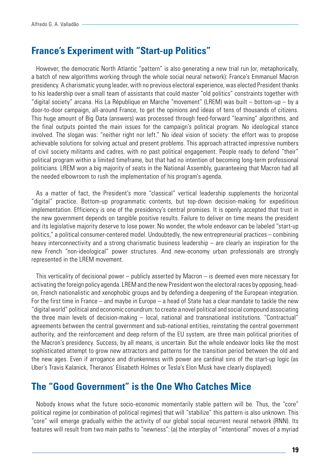#### **France's Experiment with "Start-up Politics"**

However, the democratic North Atlantic "pattern" is also generating a new trial run (or, metaphorically, a batch of new algorithms working through the whole social neural network): France's Emmanuel Macron presidency. A charismatic young leader, with no previous electoral experience, was elected President thanks to his leadership over a small team of assistants that could master "old politics" constraints together with "digital society" arcana. His La République en Marche "movement" (LREM) was built – bottom-up – by a door-to-door campaign, all-around France, to get the opinions and ideas of tens of thousands of citizens. This huge amount of Big Data (answers) was processed through feed-forward "learning" algorithms, and the final outputs pointed the main issues for the campaign's political program. No ideological stance involved. The slogan was: "neither right nor left." No ideal vision of society: the effort was to propose achievable solutions for solving actual and present problems. This approach attracted impressive numbers of civil society militants and cadres, with no past political engagement. People ready to defend "their" political program within a limited timeframe, but that had no intention of becoming long-term professional politicians. LREM won a big majority of seats in the National Assembly, guaranteeing that Macron had all the needed elbowroom to rush the implementation of his program's agenda.

As a matter of fact, the President's more "classical" vertical leadership supplements the horizontal "digital" practice. Bottom-up programmatic contents, but top-down decision-making for expeditious implementation. Efficiency is one of the presidency's central promises. It is openly accepted that trust in the new government depends on tangible positive results. Failure to deliver on time means the president and its legislative majority deserve to lose power. No wonder, the whole endeavor can be labeled "start-up politics," a political consumer-centered model. Undoubtedly, the new entrepreneurial practices – combining heavy interconnectivity and a strong charismatic business leadership – are clearly an inspiration for the new French "non-ideological" power structures. And new-economy urban professionals are strongly represented in the LREM movement.

This verticality of decisional power – publicly asserted by Macron – is deemed even more necessary for activating the foreign policy agenda. LREM and the new President won the electoral races by opposing, headon, French nationalistic and xenophobic groups and by defending a deepening of the European integration. For the first time in France – and maybe in Europe – a head of State has a clear mandate to tackle the new "digital world" political and economic conundrum: to create a novel political and social compound associating the three main levels of decision-making – local, national and transnational institutions. "Contractual" agreements between the central government and sub-national entities, reinstating the central government authority, and the reinforcement and deep reform of the EU system, are three main political priorities of the Macron's presidency. Success, by all means, is uncertain. But the whole endeavor looks like the most sophisticated attempt to grow new attractors and patterns for the transition period between the old and the new ages. Even if arrogance and drunkenness with power are cardinal sins of the start-up logic (as Uber's Travis Kalanick, Theranos' Elisabeth Holmes or Tesla's Elon Musk have clearly displayed).

#### **The "Good Government" is the One Who Catches Mice**

Nobody knows what the future socio-economic momentarily stable pattern will be. Thus, the "core" political regime (or combination of political regimes) that will "stabilize" this pattern is also unknown. This "core" will emerge gradually within the activity of our global social recurrent neural network (RNN). Its features will result from two main paths to "newness": (a) the interplay of "intentional" moves of a myriad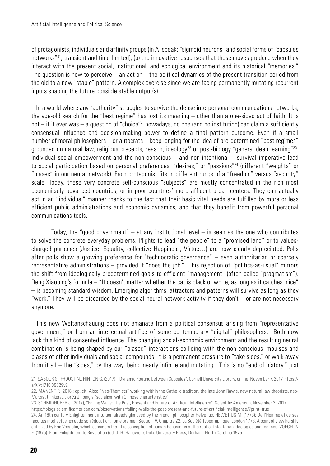of protagonists, individuals and affinity groups (in AI speak: "sigmoid neurons" and social forms of "capsules networks"21, transient and time-limited); (b) the innovative responses that these moves produce when they interact with the present social, institutional, and ecological environment and its historical "memories." The question is how to perceive – an act on – the political dynamics of the present transition period from the old to a new "stable" pattern. A complex exercise since we are facing permanently mutating recurrent inputs shaping the future possible stable output(s).

In a world where any "authority" struggles to survive the dense interpersonal communications networks, the age-old search for the "best regime" has lost its meaning – other than a one-sided act of faith. It is not – if it ever was – a question of "choice": nowadays, no one (and no institution) can claim a sufficiently consensual influence and decision-making power to define a final pattern outcome. Even if a small number of moral philosophers – or autocrats – keep longing for the idea of pre-determined "best regimes" grounded on natural law, religious precepts, reason, ideology<sup>22</sup> or post-biology "general deep learning"<sup>23</sup>. Individual social empowerment and the non-conscious – and non-intentional – survival imperative lead to social participation based on personal preferences, "desires," or "passions"24 (different "weights" or "biases" in our neural network). Each protagonist fits in different rungs of a "freedom" versus "security" scale. Today, these very concrete self-conscious "subjects" are mostly concentrated in the rich most economically advanced countries, or in poor countries' more affluent urban centers. They can actually act in an "individual" manner thanks to the fact that their basic vital needs are fulfilled by more or less efficient public administrations and economic dynamics, and that they benefit from powerful personal communications tools.

Today, the "good government" – at any institutional level – is seen as the one who contributes to solve the concrete everyday problems. Plights to lead "the people" to a "promised land" or to valuescharged purposes (Justice, Equality, collective Happiness, Virtue…) are now clearly depreciated. Polls after polls show a growing preference for "technocratic governance" – even authoritarian or scarcely representative administrations – provided it "does the job." This rejection of "politics-as-usual" mirrors the shift from ideologically predetermined goals to efficient "management" (often called "pragmatism"). Deng Xiaoping's formula – "It doesn't matter whether the cat is black or white, as long as it catches mice" – is becoming standard wisdom. Emerging algorithms, attractors and patterns will survive as long as they "work." They will be discarded by the social neural network activity if they don't – or are not necessary anymore.

This new Weltanschauung does not emanate from a political consensus arising from "representative government," or from an intellectual artifice of some contemporary "digital" philosophers. Both now lack this kind of consented influence. The changing social-economic environment and the resulting neural combination is being shaped by our "biased" interactions colliding with the non-conscious impulses and biases of other individuals and social compounds. It is a permanent pressure to "take sides," or walk away from it all – the "sides," by the way, being nearly infinite and mutating. This is no "end of history," just

<sup>21.</sup> SABOUR S., FROOST N., HINTON G. (2017): "Dynamic Routing between Capsules", Cornell University Library, online, November 7, 2017. https:// arXiv:1710.09829v2

<sup>22.</sup> MANENT P. (2018): op. cit. Also: "Neo-Thomists" working within the Catholic tradition, the late John Rawls, new natural law theorists, neo-Marxist thinkers… or Xi Jinping's "socialism with Chinese characteristics".

<sup>23.</sup> SCHMIDHUBER J. (2017), "Falling Walls: The Past, Present and Future of Artificial Intelligence", Scientific American, November 2, 2017.

https://blogs.scientificamerican.com/observations/falling-walls-the-past-present-and-future-of-artificial-intelligence/?print=true

<sup>24.</sup> An 18th century Enlightenment intuition already glimpsed by the French philosopher Helvetius. HELVETIUS M. (1773): De l'Homme et de ses facultés intellectuelles et de son éducation, Tome premier, Section IV, Chapitre 22, La Société Typographique, London 1773. A point of view harshly criticized by Eric Voegelin, which considers that this conception of human behavior is at the root of totalitarian ideologies and regimes. VOEGELIN E. (1975): From Enlightment to Revolution (ed. J. H. Hallowell), Duke University Press, Durham, North Carolina 1975.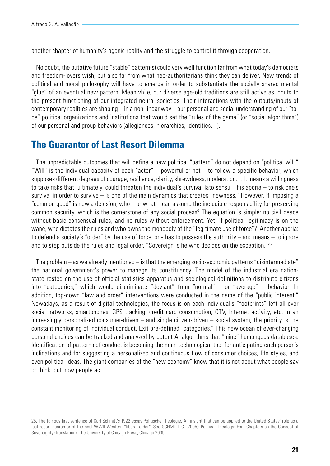another chapter of humanity's agonic reality and the struggle to control it through cooperation.

No doubt, the putative future "stable" pattern(s) could very well function far from what today's democrats and freedom-lovers wish, but also far from what neo-authoritarians think they can deliver. New trends of political and moral philosophy will have to emerge in order to substantiate the socially shared mental "glue" of an eventual new pattern. Meanwhile, our diverse age-old traditions are still active as inputs to the present functioning of our integrated neural societies. Their interactions with the outputs/inputs of contemporary realities are shaping – in a non-linear way – our personal and social understanding of our "tobe" political organizations and institutions that would set the "rules of the game" (or "social algorithms") of our personal and group behaviors (allegiances, hierarchies, identities…).

#### **The Guarantor of Last Resort Dilemma**

The unpredictable outcomes that will define a new political "pattern" do not depend on "political will." "Will" is the individual capacity of each "actor" – powerful or not – to follow a specific behavior, which supposes different degrees of courage, resilience, clarity, shrewdness, moderation… It means a willingness to take risks that, ultimately, could threaten the individual's survival lato sensu. This aporia – to risk one's survival in order to survive – is one of the main dynamics that creates "newness." However, if imposing a "common good" is now a delusion, who – or what – can assume the ineludible responsibility for preserving common security, which is the cornerstone of any social process? The equation is simple: no civil peace without basic consensual rules, and no rules without enforcement. Yet, if political legitimacy is on the wane, who dictates the rules and who owns the monopoly of the "legitimate use of force"? Another aporia: to defend a society's "order" by the use of force, one has to possess the authority – and means – to ignore and to step outside the rules and legal order. "Sovereign is he who decides on the exception."25

The problem – as we already mentioned – is that the emerging socio-economic patterns "disintermediate" the national government's power to manage its constituency. The model of the industrial era nationstate rested on the use of official statistics apparatus and sociological definitions to distribute citizens into "categories," which would discriminate "deviant" from "normal" – or "average" – behavior. In addition, top-down "law and order" interventions were conducted in the name of the "public interest." Nowadays, as a result of digital technologies, the focus is on each individual's "footprints" left all over social networks, smartphones, GPS tracking, credit card consumption, CTV, Internet activity, etc. In an increasingly personalized consumer-driven – and single citizen-driven – social system, the priority is the constant monitoring of individual conduct. Exit pre-defined "categories." This new ocean of ever-changing personal choices can be tracked and analyzed by potent AI algorithms that "mine" humongous databases. Identification of patterns of conduct is becoming the main technological tool for anticipating each person's inclinations and for suggesting a personalized and continuous flow of consumer choices, life styles, and even political ideas. The giant companies of the "new economy" know that it is not about what people say or think, but how people act.

<sup>25.</sup> The famous first sentence of Carl Schmitt's 1922 essay Politische Theologie. An insight that can be applied to the United States' role as a last resort guarantor of the post-WWII Western "liberal order". See SCHMITT C. (2005): Political Theology: Four Chapters on the Concept of Sovereignty (translation), The University of Chicago Press, Chicago 2005.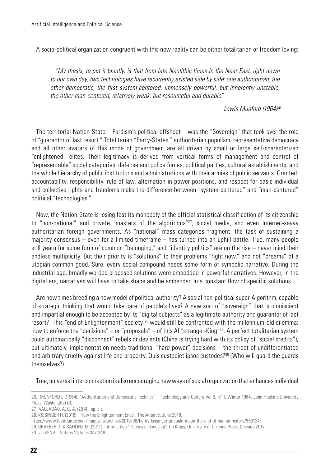A socio-political organization congruent with this new reality can be either totalitarian or freedom loving:

*"My thesis, to put it bluntly, is that from late Neolithic times in the Near East, right down to our own day, two technologies have recurrently existed side by side: one authoritarian, the other democratic, the first system-centered, immensely powerful, but inherently unstable, the other man-centered, relatively weak, but resourceful and durable".*

*Lewis Munford (1964)26*

The territorial Nation-State – Fordism's political offshoot – was the "Sovereign" that took over the role of "guarantor of last resort." Totalitarian "Party-States," authoritarian populism, representative democracy and all other avatars of this mode of government are all driven by small or large self-characterized "enlightened" elites. Their legitimacy is derived from vertical forms of management and control of "representable" social categories: defense and police forces, political parties, cultural establishments, and the whole hierarchy of public institutions and administrations with their armies of public servants. Granted: accountability, responsibility, rule of law, alternation in power positions, and respect for basic individual and collective rights and freedoms make the difference between "system-centered" and "man-centered" political "technologies."

Now, the Nation-State is losing fast its monopoly of the official statistical classification of its citizenship to "non-national" and private "masters of the algorithms"<sup>27</sup>, social media, and even Internet-savvy authoritarian foreign governments. As "national" mass categories fragment, the task of sustaining a majority consensus – even for a limited timeframe – has turned into an uphill battle. True, many people still yearn for some form of common "belonging," and "identity politics" are on the rise – never mind their endless multiplicity. But their priority is "solutions" to their problems "right now," and not "dreams" of a utopian common good. Sure, every social compound needs some form of symbolic narrative. During the industrial age, broadly worded proposed solutions were embedded in powerful narratives. However, in the digital era, narratives will have to take shape and be embedded in a constant flow of specific solutions.

Are new times breeding a new model of political authority? A social non-political super-Algorithm, capable of strategic thinking that would take care of people's lives? A new sort of "sovereign" that is omniscient and impartial enough to be accepted by its "digital subjects" as a legitimate authority and guarantor of last resort? This "end of Enlightenment" society <sup>28</sup> would still be confronted with the millennium-old dilemma: how to enforce the "decisions" – or "proposals" – of this AI "stranger-King"29. A perfect totalitarian system could automatically "disconnect" rebels or deviants (China is trying hard with its policy of "social credits"), but ultimately, implementation needs traditional "hard power" decisions – the threat of undifferentiated and arbitrary cruelty against life and property. Quis custodiet ipsos custodes?<sup>30</sup> (Who will guard the guards themselves?).

True, universal interconnection is also encouraging new ways of social organization that enhances individual

<sup>26.</sup> MUNFORD L. (1964): "Authoritarian and Democratic Technics" – Technology and Culture Vol 5, n° 1, Winter 1964. John Hopkins University Press, Washington DC.

<sup>27.</sup> VALLADÃO, A. G. A. (2014): op. cit.

<sup>28.</sup> KISSINGER H. (2018): "How the Enlightenment Ends", The Atlantic, June 2018.

https://www.theatlantic.com/magazine/archive/2018/06/henry-kissinger-ai-could-mean-the-end-of-human-history/559124/

<sup>29.</sup> GRAEBER D. & SAHLINS M. (2017): Introduction "Theses on kingship", On Kings, University of Chicago Press, Chicago 2017.

<sup>30.</sup> JUVENAL: Satires VI, lines 347-348.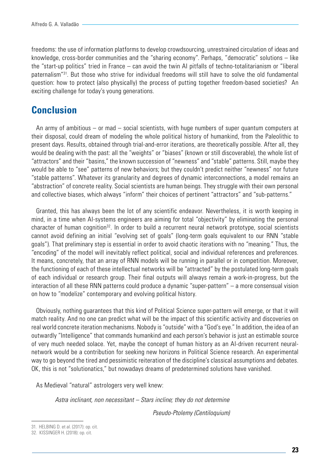freedoms: the use of information platforms to develop crowdsourcing, unrestrained circulation of ideas and knowledge, cross-border communities and the "sharing economy". Perhaps, "democratic" solutions – like the "start-up politics" tried in France – can avoid the twin AI pitfalls of techno-totalitarianism or "liberal paternalism"31. But those who strive for individual freedoms will still have to solve the old fundamental question: how to protect (also physically) the process of putting together freedom-based societies? An exciting challenge for today's young generations.

#### **Conclusion**

An army of ambitious – or mad – social scientists, with huge numbers of super quantum computers at their disposal, could dream of modeling the whole political history of humankind, from the Paleolithic to present days. Results, obtained through trial-and-error iterations, are theoretically possible. After all, they would be dealing with the past: all the "weights" or "biases" (known or still discoverable), the whole list of "attractors" and their "basins," the known succession of "newness" and "stable" patterns. Still, maybe they would be able to "see" patterns of new behaviors; but they couldn't predict neither "newness" nor future "stable patterns". Whatever its granularity and degrees of dynamic interconnections, a model remains an "abstraction" of concrete reality. Social scientists are human beings. They struggle with their own personal and collective biases, which always "inform" their choices of pertinent "attractors" and "sub-patterns."

Granted, this has always been the lot of any scientific endeavor. Nevertheless, it is worth keeping in mind, in a time when AI-systems engineers are aiming for total "objectivity" by eliminating the personal character of human cognition<sup>32</sup>. In order to build a recurrent neural network prototype, social scientists cannot avoid defining an initial "evolving set of goals" (long-term goals equivalent to our RNN "stable goals"). That preliminary step is essential in order to avoid chaotic iterations with no "meaning." Thus, the "encoding" of the model will inevitably reflect political, social and individual references and preferences. It means, concretely, that an array of RNN models will be running in parallel or in competition. Moreover, the functioning of each of these intellectual networks will be "attracted" by the postulated long-term goals of each individual or research group. Their final outputs will always remain a work-in-progress, but the interaction of all these RNN patterns could produce a dynamic "super-pattern" – a more consensual vision on how to "modelize" contemporary and evolving political history.

Obviously, nothing guarantees that this kind of Political Science super-pattern will emerge, or that it will match reality. And no one can predict what will be the impact of this scientific activity and discoveries on real world concrete iteration mechanisms. Nobody is "outside" with a "God's eye." In addition, the idea of an outwardly "Intelligence" that commands humankind and each person's behavior is just an estimable source of very much needed solace. Yet, maybe the concept of human history as an AI-driven recurrent neuralnetwork would be a contribution for seeking new horizons in Political Science research. An experimental way to go beyond the tired and pessimistic reiteration of the discipline's classical assumptions and debates. OK, this is not "solutionatics," but nowadays dreams of predetermined solutions have vanished.

As Medieval "natural" astrologers very well knew:

*Astra inclinant, non necessitant – Stars incline; they do not determine*

*Pseudo-Ptolemy (Centiloquium)*

<sup>31.</sup> HELBING D. et al. (2017): op. cit.

<sup>32.</sup> KISSINGER H. (2018): op. cit.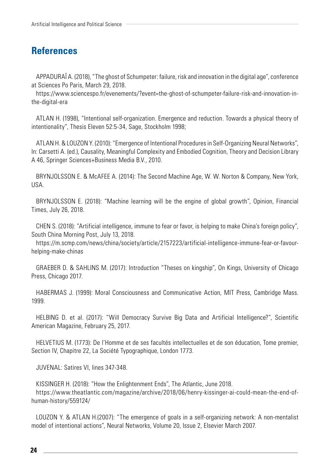#### **References**

APPADURAÏ A. (2018), "The ghost of Schumpeter: failure, risk and innovation in the digital age", conference at Sciences Po Paris, March 29, 2018.

https://www.sciencespo.fr/evenements/?event=the-ghost-of-schumpeter-failure-risk-and-innovation-inthe-digital-era

ATLAN H. (1998), "Intentional self-organization. Emergence and reduction. Towards a physical theory of intentionality", Thesis Eleven 52:5-34, Sage, Stockholm 1998;

ATLAN H. & LOUZON Y. (2010): "Emergence of Intentional Procedures in Self-Organizing Neural Networks", In: Carsetti A. (ed.), Causality, Meaningful Complexity and Embodied Cognition, Theory and Decision Library A 46, Springer Sciences+Business Media B.V., 2010.

BRYNJOLSSON E. & McAFEE A. (2014): The Second Machine Age, W. W. Norton & Company, New York, USA.

BRYNJOLSSON E. (2018): "Machine learning will be the engine of global growth", Opinion, Financial Times, July 26, 2018.

CHEN S. (2018): "Artificial intelligence, immune to fear or favor, is helping to make China's foreign policy", South China Morning Post, July 13, 2018.

https://m.scmp.com/news/china/society/article/2157223/artificial-intelligence-immune-fear-or-favourhelping-make-chinas

GRAEBER D. & SAHLINS M. (2017): Introduction "Theses on kingship", On Kings, University of Chicago Press, Chicago 2017.

HABERMAS J. (1999): Moral Consciousness and Communicative Action, MIT Press, Cambridge Mass. 1999.

HELBING D. et al. (2017): "Will Democracy Survive Big Data and Artificial Intelligence?", Scientific American Magazine, February 25, 2017.

HELVETIUS M. (1773): De l'Homme et de ses facultés intellectuelles et de son éducation, Tome premier, Section IV, Chapitre 22, La Société Typographique, London 1773.

JUVENAL: Satires VI, lines 347-348.

KISSINGER H. (2018): "How the Enlightenment Ends", The Atlantic, June 2018. https://www.theatlantic.com/magazine/archive/2018/06/henry-kissinger-ai-could-mean-the-end-ofhuman-history/559124/

LOUZON Y. & ATLAN H.(2007): "The emergence of goals in a self-organizing network: A non-mentalist model of intentional actions", Neural Networks, Volume 20, Issue 2, Elsevier March 2007.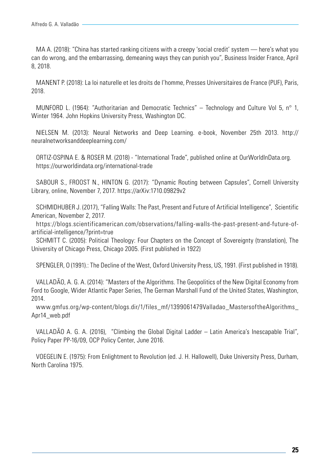MA A. (2018): "China has started ranking citizens with a creepy 'social credit' system — here's what you can do wrong, and the embarrassing, demeaning ways they can punish you", Business Insider France, April 8, 2018.

MANENT P. (2018): La loi naturelle et les droits de l'homme, Presses Universitaires de France (PUF), Paris, 2018.

MUNFORD L. (1964): "Authoritarian and Democratic Technics" – Technology and Culture Vol 5, n° 1, Winter 1964. John Hopkins University Press, Washington DC.

NIELSEN M. (2013): Neural Networks and Deep Learning. e-book, November 25th 2013. http:// neuralnetworksanddeeplearning.com/

ORTIZ-OSPINA E. & ROSER M. (2018) - "International Trade", published online at OurWorldInData.org. https://ourworldindata.org/international-trade

SABOUR S., FROOST N., HINTON G. (2017): "Dynamic Routing between Capsules", Cornell University Library, online, November 7, 2017. https://arXiv:1710.09829v2

SCHMIDHUBER J. (2017), "Falling Walls: The Past, Present and Future of Artificial Intelligence", Scientific American, November 2, 2017.

https://blogs.scientificamerican.com/observations/falling-walls-the-past-present-and-future-ofartificial-intelligence/?print=true

SCHMITT C. (2005): Political Theology: Four Chapters on the Concept of Sovereignty (translation), The University of Chicago Press, Chicago 2005. (First published in 1922)

SPENGLER, O (1991).: The Decline of the West, Oxford University Press, US, 1991. (First published in 1918).

VALLADÃO, A. G. A. (2014): "Masters of the Algorithms. The Geopolitics of the New Digital Economy from Ford to Google, Wider Atlantic Paper Series, The German Marshall Fund of the United States, Washington, 2014.

www.gmfus.org/wp-content/blogs.dir/1/files\_mf/1399061479Valladao\_MastersoftheAlgorithms\_ Apr14\_web.pdf

VALLADÃO A. G. A. (2016), "Climbing the Global Digital Ladder – Latin America's Inescapable Trial", Policy Paper PP-16/09, OCP Policy Center, June 2016.

VOEGELIN E. (1975): From Enlightment to Revolution (ed. J. H. Hallowell), Duke University Press, Durham, North Carolina 1975.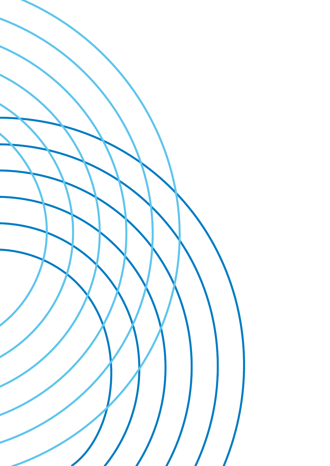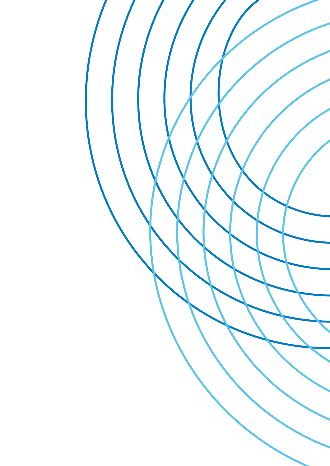